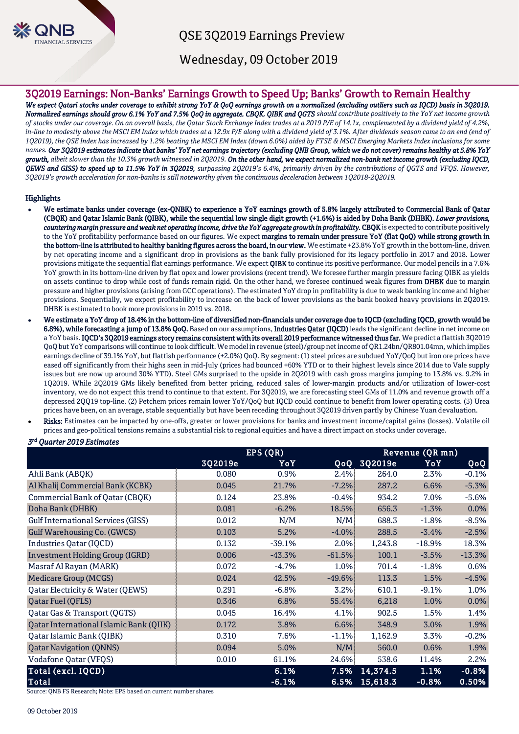

QSE 3Q2019 Earnings Preview

Wednesday, 09 October 2019

# 3Q2019 Earnings: Non-Banks' Earnings Growth to Speed Up; Banks' Growth to Remain Healthy

*We expect Qatari stocks under coverage to exhibit strong YoY & QoQ earnings growth on a normalized (excluding outliers such as IQCD) basis in 3Q2019. Normalized earnings should grow 6.1% YoY and 7.5% QoQ in aggregate. CBQK, QIBK and QGTS should contribute positively to the YoY net income growth of stocks under our coverage. On an overall basis, the Qatar Stock Exchange Index trades at a 2019 P/E of 14.1x, complemented by a dividend yield of 4.2%, in-line to modestly above the MSCI EM Index which trades at a 12.9x P/E along with a dividend yield of 3.1%. After dividends season came to an end (end of 1Q2019), the QSE Index has increased by 1.2% beating the MSCI EM Index (down 6.0%) aided by FTSE & MSCI Emerging Markets Index inclusions for some names. Our 3Q2019 estimates indicate that banks' YoY net earnings trajectory (excluding QNB Group, which we do not cover) remains healthy at 5.8% YoY growth, albeit slower than the 10.3% growth witnessed in 2Q2019. On the other hand, we expect normalized non-bank net income growth (excluding IQCD, QEWS and GISS) to speed up to 11.5% YoY in 3Q2019, surpassing 2Q2019's 6.4%, primarily driven by the contributions of QGTS and VFQS. However, 3Q2019's growth acceleration for non-banks is still noteworthy given the continuous deceleration between 1Q2018-2Q2019.*

## **Highlights**

- We estimate banks under coverage (ex-QNBK) to experience a YoY earnings growth of 5.8% largely attributed to Commercial Bank of Qatar (CBQK) and Qatar Islamic Bank (QIBK), while the sequential low single digit growth (+1.6%) is aided by Doha Bank (DHBK). *Lower provisions, countering margin pressure and weak net operating income, drive the YoY aggregate growth in profitability.* CBQK is expected to contribute positively to the YoY profitability performance based on our figures. We expect margins to remain under pressure YoY (flat QoQ) while strong growth in the bottom-line is attributed to healthy banking figures across the board, in our view. We estimate +23.8% YoY growth in the bottom-line, driven by net operating income and a significant drop in provisions as the bank fully provisioned for its legacy portfolio in 2017 and 2018. Lower provisions mitigate the sequential flat earnings performance. We expect **QIBK** to continue its positive performance. Our model pencils in a 7.6% YoY growth in its bottom-line driven by flat opex and lower provisions (recent trend). We foresee further margin pressure facing QIBK as yields on assets continue to drop while cost of funds remain rigid. On the other hand, we foresee continued weak figures from DHBK due to margin pressure and higher provisions (arising from GCC operations). The estimated YoY drop in profitability is due to weak banking income and higher provisions. Sequentially, we expect profitability to increase on the back of lower provisions as the bank booked heavy provisions in 2Q2019. DHBK is estimated to book more provisions in 2019 vs. 2018.
- We estimate a YoY drop of 18.4% in the bottom-line of diversified non-financials under coverage due to IQCD (excluding IQCD, growth would be 6.8%), while forecasting a jump of 13.8% QoQ. Based on our assumptions, Industries Qatar (IQCD) leads the significant decline in net income on a YoY basis. IQCD's 3Q2019 earnings story remains consistent with its overall 2019 performance witnessed thus far. We predict a flattish 3Q2019 QoQ but YoY comparisons will continue to look difficult. We model in revenue (steel)/group net income of QR1.24bn/QR801.04mn, which implies earnings decline of 39.1% YoY, but flattish performance (+2.0%) QoQ. By segment: (1) steel prices are subdued YoY/QoQ but iron ore prices have eased off significantly from their highs seen in mid-July (prices had bounced +60% YTD or to their highest levels since 2014 due to Vale supply issues but are now up around 30% YTD). Steel GMs surprised to the upside in 2Q2019 with cash gross margins jumping to 13.8% vs. 9.2% in 1Q2019. While 2Q2019 GMs likely benefited from better pricing, reduced sales of lower-margin products and/or utilization of lower-cost inventory, we do not expect this trend to continue to that extent. For 3Q2019, we are forecasting steel GMs of 11.0% and revenue growth off a depressed 2QQ19 top-line. (2) Petchem prices remain lower YoY/QoQ but IQCD could continue to benefit from lower operating costs. (3) Urea prices have been, on an average, stable sequentially but have been receding throughout 3Q2019 driven partly by Chinese Yuan devaluation.
- Risks: Estimates can be impacted by one-offs, greater or lower provisions for banks and investment income/capital gains (losses). Volatile oil prices and geo-political tensions remains a substantial risk to regional equities and have a direct impact on stocks under coverage.

## *3 rd Quarter 2019 Estimates*

|                                           |         | EPS (QR) | Revenue (QR mn) |          |          |          |
|-------------------------------------------|---------|----------|-----------------|----------|----------|----------|
|                                           | 3Q2019e | YoY      | 0o0 <b>.</b>    | 3Q2019e  | YoY      | QoQ      |
| Ahli Bank (ABQK)                          | 0.080   | 0.9%     | 2.4%            | 264.0    | 2.3%     | $-0.1%$  |
| Al Khalij Commercial Bank (KCBK)          | 0.045   | 21.7%    | $-7.2%$         | 287.2    | 6.6%     | $-5.3%$  |
| Commercial Bank of Qatar (CBQK)           | 0.124   | 23.8%    | $-0.4%$         | 934.2    | 7.0%     | $-5.6%$  |
| Doha Bank (DHBK)                          | 0.081   | $-6.2%$  | 18.5%           | 656.3    | $-1.3%$  | 0.0%     |
| <b>Gulf International Services (GISS)</b> | 0.012   | N/M      | N/M             | 688.3    | $-1.8%$  | $-8.5%$  |
| <b>Gulf Warehousing Co. (GWCS)</b>        | 0.103   | 5.2%     | $-4.0\%$        | 288.5    | $-3.4%$  | $-2.5%$  |
| Industries Qatar (IQCD)                   | 0.132   | $-39.1%$ | 2.0%            | 1,243.8  | $-18.9%$ | 18.3%    |
| Investment Holding Group (IGRD)           | 0.006   | $-43.3%$ | $-61.5%$        | 100.1    | $-3.5%$  | $-13.3%$ |
| Masraf Al Rayan (MARK)                    | 0.072   | $-4.7%$  | 1.0%            | 701.4    | $-1.8%$  | 0.6%     |
| <b>Medicare Group (MCGS)</b>              | 0.024   | 42.5%    | $-49.6\%$       | 113.3    | 1.5%     | $-4.5%$  |
| Qatar Electricity & Water (QEWS)          | 0.291   | $-6.8%$  | 3.2%            | 610.1    | $-9.1%$  | 1.0%     |
| Qatar Fuel (QFLS)                         | 0.346   | 6.8%     | 55.4%           | 6,218    | 1.0%     | 0.0%     |
| Qatar Gas & Transport (QGTS)              | 0.045   | 16.4%    | 4.1%            | 902.5    | 1.5%     | 1.4%     |
| Qatar International Islamic Bank (QIIK)   | 0.172   | 3.8%     | 6.6%            | 348.9    | 3.0%     | 1.9%     |
| Qatar Islamic Bank (QIBK)                 | 0.310   | 7.6%     | $-1.1%$         | 1,162.9  | 3.3%     | $-0.2%$  |
| <b>Qatar Navigation (QNNS)</b>            | 0.094   | 5.0%     | N/M             | 560.0    | 0.6%     | 1.9%     |
| <b>Vodafone Qatar (VFQS)</b>              | 0.010   | 61.1%    | 24.6%           | 538.6    | 11.4%    | 2.2%     |
| Total (excl. IQCD)                        |         | 6.1%     | 7.5%            | 14,374.5 | 1.1%     | $-0.8%$  |
| Total                                     |         | $-6.1%$  | 6.5%            | 15,618.3 | $-0.8%$  | 0.50%    |

Source: QNB FS Research; Note: EPS based on current number shares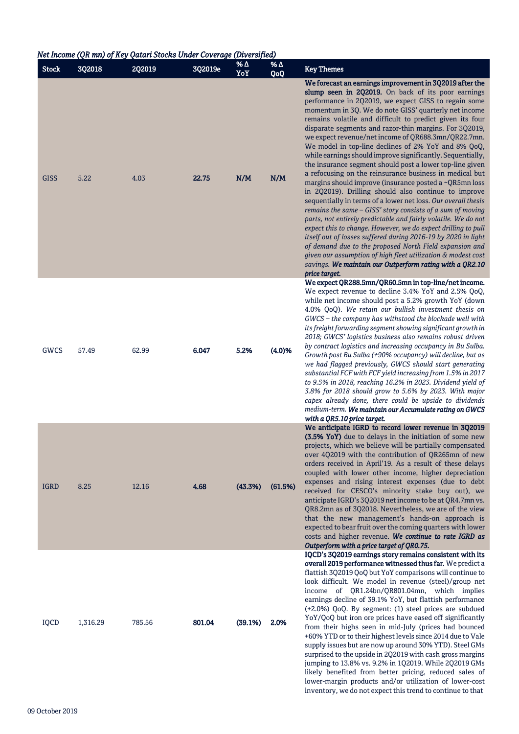| Net Income (QR mn) of Key Qatari Stocks Under Coverage (Diversified) |          |        |         |            |            |                                                                                                                                                                                                                                                                                                                                                                                                                                                                                                                                                                                                                                                                                                                                                                                                                                                                                                                                                                                                                                                                                                                                                                                                                                                                                                                      |
|----------------------------------------------------------------------|----------|--------|---------|------------|------------|----------------------------------------------------------------------------------------------------------------------------------------------------------------------------------------------------------------------------------------------------------------------------------------------------------------------------------------------------------------------------------------------------------------------------------------------------------------------------------------------------------------------------------------------------------------------------------------------------------------------------------------------------------------------------------------------------------------------------------------------------------------------------------------------------------------------------------------------------------------------------------------------------------------------------------------------------------------------------------------------------------------------------------------------------------------------------------------------------------------------------------------------------------------------------------------------------------------------------------------------------------------------------------------------------------------------|
| <b>Stock</b>                                                         | 3Q2018   | 2Q2019 | 3Q2019e | % Δ<br>YoY | % Δ<br>QoQ | <b>Key Themes</b>                                                                                                                                                                                                                                                                                                                                                                                                                                                                                                                                                                                                                                                                                                                                                                                                                                                                                                                                                                                                                                                                                                                                                                                                                                                                                                    |
| <b>GISS</b>                                                          | 5.22     | 4.03   | 22.75   | N/M        | N/M        | We forecast an earnings improvement in 3Q2019 after the<br>slump seen in 2Q2019. On back of its poor earnings<br>performance in 2Q2019, we expect GISS to regain some<br>momentum in 3Q. We do note GISS' quarterly net income<br>remains volatile and difficult to predict given its four<br>disparate segments and razor-thin margins. For 3Q2019,<br>we expect revenue/net income of QR688.3mn/QR22.7mn.<br>We model in top-line declines of 2% YoY and 8% QoQ,<br>while earnings should improve significantly. Sequentially,<br>the insurance segment should post a lower top-line given<br>a refocusing on the reinsurance business in medical but<br>margins should improve (insurance posted a ~QR5mn loss<br>in 2Q2019). Drilling should also continue to improve<br>sequentially in terms of a lower net loss. Our overall thesis<br>remains the same - GISS' story consists of a sum of moving<br>parts, not entirely predictable and fairly volatile. We do not<br>expect this to change. However, we do expect drilling to pull<br>itself out of losses suffered during 2016-19 by 2020 in light<br>of demand due to the proposed North Field expansion and<br>given our assumption of high fleet utilization & modest cost<br>savings. We maintain our Outperform rating with a QR2.10<br>price target. |
| GWCS                                                                 | 57.49    | 62.99  | 6.047   | 5.2%       | (4.0)%     | We expect QR288.5mn/QR60.5mn in top-line/net income.<br>We expect revenue to decline 3.4% YoY and 2.5% QoQ,<br>while net income should post a 5.2% growth YoY (down<br>4.0% QoQ). We retain our bullish investment thesis on<br>GWCS - the company has withstood the blockade well with<br>its freight forwarding segment showing significant growth in<br>2018; GWCS' logistics business also remains robust driven<br>by contract logistics and increasing occupancy in Bu Sulba.<br>Growth post Bu Sulba (+90% occupancy) will decline, but as<br>we had flagged previously, GWCS should start generating<br>substantial FCF with FCF yield increasing from 1.5% in 2017<br>to 9.5% in 2018, reaching 16.2% in 2023. Dividend yield of<br>3.8% for 2018 should grow to 5.6% by 2023. With major<br>capex already done, there could be upside to dividends<br>medium-term. We maintain our Accumulate rating on GWCS<br>with a QR5.10 price target.                                                                                                                                                                                                                                                                                                                                                                |
| <b>IGRD</b>                                                          | 8.25     | 12.16  | 4.68    | (43.3%)    | (61.5%)    | We anticipate IGRD to record lower revenue in 3Q2019<br>(3.5% YoY) due to delays in the initiation of some new<br>projects, which we believe will be partially compensated<br>over 4Q2019 with the contribution of QR265mn of new<br>orders received in April'19. As a result of these delays<br>coupled with lower other income, higher depreciation<br>expenses and rising interest expenses (due to debt<br>received for CESCO's minority stake buy out), we<br>anticipate IGRD's 3Q2019 net income to be at QR4.7mn vs.<br>QR8.2mn as of 3Q2018. Nevertheless, we are of the view<br>that the new management's hands-on approach is<br>expected to bear fruit over the coming quarters with lower<br>costs and higher revenue. We continue to rate IGRD as<br>Outperform with a price target of QR0.75.                                                                                                                                                                                                                                                                                                                                                                                                                                                                                                          |
| IQCD                                                                 | 1,316.29 | 785.56 | 801.04  | (39.1%)    | 2.0%       | IQCD's 3Q2019 earnings story remains consistent with its<br>overall 2019 performance witnessed thus far. We predict a<br>flattish 3Q2019 QoQ but YoY comparisons will continue to<br>look difficult. We model in revenue (steel)/group net<br>income of QR1.24bn/QR801.04mn, which implies<br>earnings decline of 39.1% YoY, but flattish performance<br>(+2.0%) QoQ. By segment: (1) steel prices are subdued<br>YoY/QoQ but iron ore prices have eased off significantly<br>from their highs seen in mid-July (prices had bounced<br>+60% YTD or to their highest levels since 2014 due to Vale<br>supply issues but are now up around 30% YTD). Steel GMs<br>surprised to the upside in 2Q2019 with cash gross margins<br>jumping to 13.8% vs. 9.2% in 1Q2019. While 2Q2019 GMs<br>likely benefited from better pricing, reduced sales of<br>lower-margin products and/or utilization of lower-cost<br>inventory, we do not expect this trend to continue to that                                                                                                                                                                                                                                                                                                                                                 |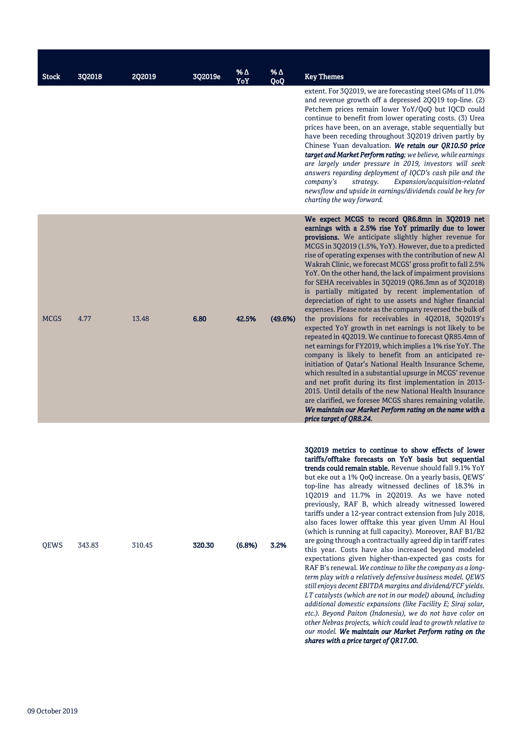|              | 302018 |        |         | <b>%Δ</b> | %Δ      |                                                                                                                                                                                                                                                                                                                                                                                                                                                                                                                                                                                                                                                                                                                                                                                                                                                                                                                                                                                                                                                                                                                                                                                                                                                                                                                                                                |
|--------------|--------|--------|---------|-----------|---------|----------------------------------------------------------------------------------------------------------------------------------------------------------------------------------------------------------------------------------------------------------------------------------------------------------------------------------------------------------------------------------------------------------------------------------------------------------------------------------------------------------------------------------------------------------------------------------------------------------------------------------------------------------------------------------------------------------------------------------------------------------------------------------------------------------------------------------------------------------------------------------------------------------------------------------------------------------------------------------------------------------------------------------------------------------------------------------------------------------------------------------------------------------------------------------------------------------------------------------------------------------------------------------------------------------------------------------------------------------------|
| <b>Stock</b> |        | 2Q2019 | 3Q2019e | YoY       | QoQ     | <b>Key Themes</b><br>extent. For 3Q2019, we are forecasting steel GMs of 11.0%<br>and revenue growth off a depressed 2QQ19 top-line. (2)<br>Petchem prices remain lower YoY/QoQ but IQCD could<br>continue to benefit from lower operating costs. (3) Urea<br>prices have been, on an average, stable sequentially but<br>have been receding throughout 3Q2019 driven partly by<br>Chinese Yuan devaluation. We retain our QR10.50 price<br>target and Market Perform rating; we believe, while earnings<br>are largely under pressure in 2019, investors will seek<br>answers regarding deployment of IQCD's cash pile and the<br>Expansion/acquisition-related<br>company's<br>strategy.<br>newsflow and upside in earnings/dividends could be key for<br>charting the way forward.                                                                                                                                                                                                                                                                                                                                                                                                                                                                                                                                                                          |
| <b>MCGS</b>  | 4.77   | 13.48  | 6.80    | 42.5%     | (49.6%) | We expect MCGS to record QR6.8mn in 3Q2019 net<br>earnings with a 2.5% rise YoY primarily due to lower<br>provisions. We anticipate slightly higher revenue for<br>MCGS in 3Q2019 (1.5%, YoY). However, due to a predicted<br>rise of operating expenses with the contribution of new Al<br>Wakrah Clinic, we forecast MCGS' gross profit to fall 2.5%<br>YoY. On the other hand, the lack of impairment provisions<br>for SEHA receivables in 3Q2019 (QR6.3mn as of 3Q2018)<br>is partially mitigated by recent implementation of<br>depreciation of right to use assets and higher financial<br>expenses. Please note as the company reversed the bulk of<br>the provisions for receivables in 4Q2018, 3Q2019's<br>expected YoY growth in net earnings is not likely to be<br>repeated in 4Q2019. We continue to forecast QR85.4mn of<br>net earnings for FY2019, which implies a 1% rise YoY. The<br>company is likely to benefit from an anticipated re-<br>initiation of Qatar's National Health Insurance Scheme,<br>which resulted in a substantial upsurge in MCGS' revenue<br>and net profit during its first implementation in 2013-<br>2015. Until details of the new National Health Insurance<br>are clarified, we foresee MCGS shares remaining volatile.<br>We maintain our Market Perform rating on the name with a<br>price target of OR8.24. |
| QEWS         | 343.83 | 310.45 | 320.30  | (6.8%)    | 3.2%    | 3Q2019 metrics to continue to show effects of lower<br>tariffs/offtake forecasts on YoY basis but sequential<br>trends could remain stable. Revenue should fall 9.1% YoY<br>but eke out a 1% QoQ increase. On a yearly basis, QEWS'<br>top-line has already witnessed declines of 18.3% in<br>1Q2019 and 11.7% in 2Q2019. As we have noted<br>previously, RAF B, which already witnessed lowered<br>tariffs under a 12-year contract extension from July 2018,<br>also faces lower offtake this year given Umm Al Houl<br>(which is running at full capacity). Moreover, RAF B1/B2<br>are going through a contractually agreed dip in tariff rates<br>this year. Costs have also increased beyond modeled<br>expectations given higher-than-expected gas costs for<br>RAF B's renewal. We continue to like the company as a long-<br>term play with a relatively defensive business model. QEWS<br>still enjoys decent EBITDA margins and dividend/FCF yields.<br>LT catalysts (which are not in our model) abound, including<br>additional domestic expansions (like Facility E; Siraj solar,<br>etc.). Beyond Paiton (Indonesia), we do not have color on<br>other Nebras projects, which could lead to growth relative to<br>our model. We maintain our Market Perform rating on the                                                                        |

*shares with a price target of QR17.00.*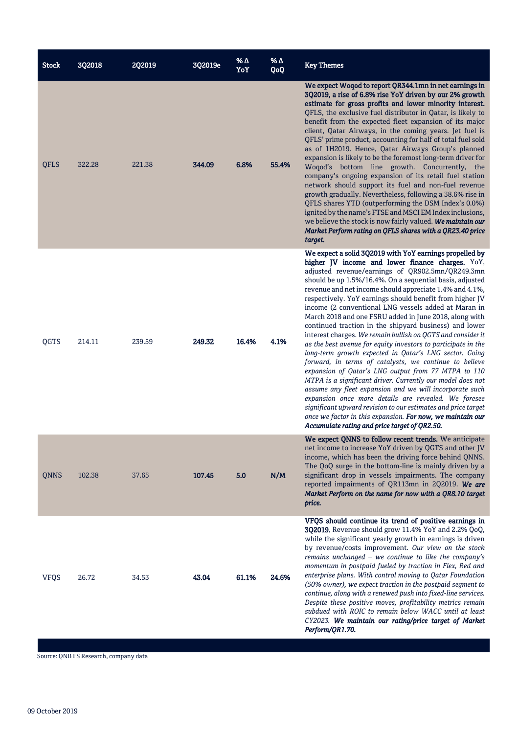| <b>Stock</b> | 3Q2018 | <b>2Q2019</b> | 3Q2019e | % Δ<br>YoY | $% \triangle$<br>QoQ | <b>Key Themes</b>                                                                                                                                                                                                                                                                                                                                                                                                                                                                                                                                                                                                                                                                                                                                                                                                                                                                                                                                                                                                                                                                                                                                                                                          |
|--------------|--------|---------------|---------|------------|----------------------|------------------------------------------------------------------------------------------------------------------------------------------------------------------------------------------------------------------------------------------------------------------------------------------------------------------------------------------------------------------------------------------------------------------------------------------------------------------------------------------------------------------------------------------------------------------------------------------------------------------------------------------------------------------------------------------------------------------------------------------------------------------------------------------------------------------------------------------------------------------------------------------------------------------------------------------------------------------------------------------------------------------------------------------------------------------------------------------------------------------------------------------------------------------------------------------------------------|
| <b>QFLS</b>  | 322.28 | 221.38        | 344.09  | 6.8%       | 55.4%                | We expect Woqod to report QR344.1mn in net earnings in<br>3Q2019, a rise of 6.8% rise YoY driven by our 2% growth<br>estimate for gross profits and lower minority interest.<br>QFLS, the exclusive fuel distributor in Qatar, is likely to<br>benefit from the expected fleet expansion of its major<br>client, Qatar Airways, in the coming years. Jet fuel is<br>QFLS' prime product, accounting for half of total fuel sold<br>as of 1H2019. Hence, Qatar Airways Group's planned<br>expansion is likely to be the foremost long-term driver for<br>Woqod's bottom line growth. Concurrently, the<br>company's ongoing expansion of its retail fuel station<br>network should support its fuel and non-fuel revenue<br>growth gradually. Nevertheless, following a 38.6% rise in<br>QFLS shares YTD (outperforming the DSM Index's 0.0%)<br>ignited by the name's FTSE and MSCI EM Index inclusions,<br>we believe the stock is now fairly valued. We maintain our<br>Market Perform rating on QFLS shares with a QR23.40 price<br>target.                                                                                                                                                             |
| QGTS         | 214.11 | 239.59        | 249.32  | 16.4%      | 4.1%                 | We expect a solid 3Q2019 with YoY earnings propelled by<br>higher JV income and lower finance charges. YoY,<br>adjusted revenue/earnings of QR902.5mn/QR249.3mn<br>should be up 1.5%/16.4%. On a sequential basis, adjusted<br>revenue and net income should appreciate 1.4% and 4.1%,<br>respectively. YoY earnings should benefit from higher JV<br>income (2 conventional LNG vessels added at Maran in<br>March 2018 and one FSRU added in June 2018, along with<br>continued traction in the shipyard business) and lower<br>interest charges. We remain bullish on QGTS and consider it<br>as the best avenue for equity investors to participate in the<br>long-term growth expected in Qatar's LNG sector. Going<br>forward, in terms of catalysts, we continue to believe<br>expansion of Qatar's LNG output from 77 MTPA to 110<br>MTPA is a significant driver. Currently our model does not<br>assume any fleet expansion and we will incorporate such<br>expansion once more details are revealed. We foresee<br>significant upward revision to our estimates and price target<br>once we factor in this expansion. For now, we maintain our<br>Accumulate rating and price target of QR2.50. |
| <b>QNNS</b>  | 102.38 | 37.65         | 107.45  | 5.0        | N/M                  | We expect ONNS to follow recent trends. We anticipate<br>net income to increase YoY driven by QGTS and other JV<br>income, which has been the driving force behind QNNS.<br>The QoQ surge in the bottom-line is mainly driven by a<br>significant drop in vessels impairments. The company<br>reported impairments of QR113mn in 2Q2019. We are<br>Market Perform on the name for now with a QR8.10 target<br>price.                                                                                                                                                                                                                                                                                                                                                                                                                                                                                                                                                                                                                                                                                                                                                                                       |
| <b>VFQS</b>  | 26.72  | 34.53         | 43.04   | 61.1%      | 24.6%                | VFQS should continue its trend of positive earnings in<br>3Q2019. Revenue should grow 11.4% YoY and 2.2% QoQ,<br>while the significant yearly growth in earnings is driven<br>by revenue/costs improvement. Our view on the stock<br>remains unchanged - we continue to like the company's<br>momentum in postpaid fueled by traction in Flex, Red and<br>enterprise plans. With control moving to Qatar Foundation<br>(50% owner), we expect traction in the postpaid segment to<br>continue, along with a renewed push into fixed-line services.<br>Despite these positive moves, profitability metrics remain<br>subdued with ROIC to remain below WACC until at least<br>CY2023. We maintain our rating/price target of Market<br>Perform/QR1.70.                                                                                                                                                                                                                                                                                                                                                                                                                                                      |

Source: QNB FS Research, company data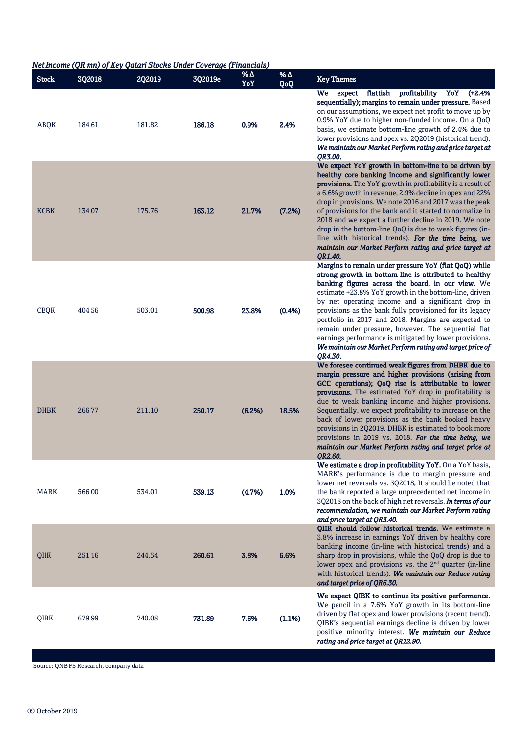## *Net Income (QR mn) of Key Qatari Stocks Under Coverage (Financials)*

| <b>Stock</b> | 3Q2018 | 2Q2019 | 3Q2019e | % $\Delta$<br>YoY | % $\Delta$<br>QoQ | <b>Key Themes</b>                                                                                                                                                                                                                                                                                                                                                                                                                                                                                                                                                                                          |
|--------------|--------|--------|---------|-------------------|-------------------|------------------------------------------------------------------------------------------------------------------------------------------------------------------------------------------------------------------------------------------------------------------------------------------------------------------------------------------------------------------------------------------------------------------------------------------------------------------------------------------------------------------------------------------------------------------------------------------------------------|
| ABQK         | 184.61 | 181.82 | 186.18  | 0.9%              | 2.4%              | flattish profitability YoY (+2.4%<br><b>We</b><br>expect<br>sequentially); margins to remain under pressure. Based<br>on our assumptions, we expect net profit to move up by<br>0.9% YoY due to higher non-funded income. On a QoQ<br>basis, we estimate bottom-line growth of 2.4% due to<br>lower provisions and opex vs. 2Q2019 (historical trend).<br>We maintain our Market Perform rating and price target at<br>QR3.00.                                                                                                                                                                             |
| <b>KCBK</b>  | 134.07 | 175.76 | 163.12  | 21.7%             | (7.2%)            | We expect YoY growth in bottom-line to be driven by<br>healthy core banking income and significantly lower<br>provisions. The YoY growth in profitability is a result of<br>a 6.6% growth in revenue, 2.9% decline in opex and 22%<br>drop in provisions. We note 2016 and 2017 was the peak<br>of provisions for the bank and it started to normalize in<br>2018 and we expect a further decline in 2019. We note<br>drop in the bottom-line QoQ is due to weak figures (in-<br>line with historical trends). For the time being, we<br>maintain our Market Perform rating and price target at<br>OR1.40. |
| <b>CBQK</b>  | 404.56 | 503.01 | 500.98  | 23.8%             | (0.4% )           | Margins to remain under pressure YoY (flat QoQ) while<br>strong growth in bottom-line is attributed to healthy<br>banking figures across the board, in our view. We<br>estimate +23.8% YoY growth in the bottom-line, driven<br>by net operating income and a significant drop in<br>provisions as the bank fully provisioned for its legacy<br>portfolio in 2017 and 2018. Margins are expected to<br>remain under pressure, however. The sequential flat<br>earnings performance is mitigated by lower provisions.<br>We maintain our Market Perform rating and target price of<br>OR4.30.               |
| <b>DHBK</b>  | 266.77 | 211.10 | 250.17  | (6.2%)            | 18.5%             | We foresee continued weak figures from DHBK due to<br>margin pressure and higher provisions (arising from<br>GCC operations); QoQ rise is attributable to lower<br>provisions. The estimated YoY drop in profitability is<br>due to weak banking income and higher provisions.<br>Sequentially, we expect profitability to increase on the<br>back of lower provisions as the bank booked heavy<br>provisions in 2Q2019. DHBK is estimated to book more<br>provisions in 2019 vs. 2018. For the time being, we<br>maintain our Market Perform rating and target price at<br>OR2.60.                        |
| MARK         | 566.00 | 534.01 | 539.13  | (4.7%)            | 1.0%              | We estimate a drop in profitability YoY. On a YoY basis,<br>MARK's performance is due to margin pressure and<br>lower net reversals vs. 3Q2018. It should be noted that<br>the bank reported a large unprecedented net income in<br>3Q2018 on the back of high net reversals. In terms of our<br>recommendation, we maintain our Market Perform rating<br>and price target at QR3.40.                                                                                                                                                                                                                      |
| QIIK         | 251.16 | 244.54 | 260.61  | 3.8%              | 6.6%              | QIIK should follow historical trends. We estimate a<br>3.8% increase in earnings YoY driven by healthy core<br>banking income (in-line with historical trends) and a<br>sharp drop in provisions, while the QoQ drop is due to<br>lower opex and provisions vs. the 2 <sup>nd</sup> quarter (in-line<br>with historical trends). We maintain our Reduce rating<br>and target price of QR6.30.                                                                                                                                                                                                              |
| QIBK         | 679.99 | 740.08 | 731.89  | 7.6%              | (1.1%)            | We expect QIBK to continue its positive performance.<br>We pencil in a 7.6% YoY growth in its bottom-line<br>driven by flat opex and lower provisions (recent trend).<br>QIBK's sequential earnings decline is driven by lower<br>positive minority interest. We maintain our Reduce<br>rating and price target at QR12.90.                                                                                                                                                                                                                                                                                |

Source: QNB FS Research, company data